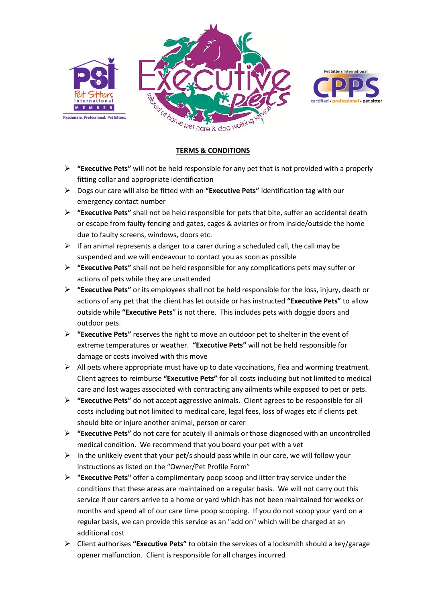

# **TERMS & CONDITIONS**

- **"Executive Pets"** will not be held responsible for any pet that is not provided with a properly fitting collar and appropriate identification
- Dogs our care will also be fitted with an **"Executive Pets"** identification tag with our emergency contact number
- **"Executive Pets"** shall not be held responsible for pets that bite, suffer an accidental death or escape from faulty fencing and gates, cages & aviaries or from inside/outside the home due to faulty screens, windows, doors etc.
- $\triangleright$  If an animal represents a danger to a carer during a scheduled call, the call may be suspended and we will endeavour to contact you as soon as possible
- **"Executive Pets"** shall not be held responsible for any complications pets may suffer or actions of pets while they are unattended
- **"Executive Pets"** or its employees shall not be held responsible for the loss, injury, death or actions of any pet that the client has let outside or has instructed **"Executive Pets"** to allow outside while **"Executive Pets"** is not there. This includes pets with doggie doors and outdoor pets.
- **"Executive Pets"** reserves the right to move an outdoor pet to shelter in the event of extreme temperatures or weather. **"Executive Pets"** will not be held responsible for damage or costs involved with this move
- $\triangleright$  All pets where appropriate must have up to date vaccinations, flea and worming treatment. Client agrees to reimburse **"Executive Pets"** for all costs including but not limited to medical care and lost wages associated with contracting any ailments while exposed to pet or pets.
- **"Executive Pets"** do not accept aggressive animals. Client agrees to be responsible for all costs including but not limited to medical care, legal fees, loss of wages etc if clients pet should bite or injure another animal, person or carer
- **"Executive Pets"** do not care for acutely ill animals or those diagnosed with an uncontrolled medical condition. We recommend that you board your pet with a vet
- $\triangleright$  In the unlikely event that your pet/s should pass while in our care, we will follow your instructions as listed on the "Owner/Pet Profile Form"
- **"Executive Pets"** offer a complimentary poop scoop and litter tray service under the conditions that these areas are maintained on a regular basis. We will not carry out this service if our carers arrive to a home or yard which has not been maintained for weeks or months and spend all of our care time poop scooping. If you do not scoop your yard on a regular basis, we can provide this service as an "add on" which will be charged at an additional cost
- Client authorises **"Executive Pets"** to obtain the services of a locksmith should a key/garage opener malfunction. Client is responsible for all charges incurred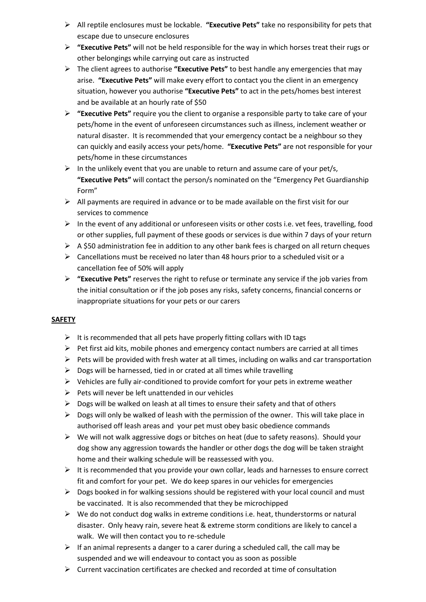- All reptile enclosures must be lockable. **"Executive Pets"** take no responsibility for pets that escape due to unsecure enclosures
- **"Executive Pets"** will not be held responsible for the way in which horses treat their rugs or other belongings while carrying out care as instructed
- The client agrees to authorise **"Executive Pets"** to best handle any emergencies that may arise. **"Executive Pets"** will make every effort to contact you the client in an emergency situation, however you authorise **"Executive Pets"** to act in the pets/homes best interest and be available at an hourly rate of \$50
- **"Executive Pets"** require you the client to organise a responsible party to take care of your pets/home in the event of unforeseen circumstances such as illness, inclement weather or natural disaster. It is recommended that your emergency contact be a neighbour so they can quickly and easily access your pets/home. **"Executive Pets"** are not responsible for your pets/home in these circumstances
- $\triangleright$  In the unlikely event that you are unable to return and assume care of your pet/s, **"Executive Pets"** will contact the person/s nominated on the "Emergency Pet Guardianship Form"
- $\triangleright$  All payments are required in advance or to be made available on the first visit for our services to commence
- $\triangleright$  In the event of any additional or unforeseen visits or other costs i.e. vet fees, travelling, food or other supplies, full payment of these goods or services is due within 7 days of your return
- $\triangleright$  A \$50 administration fee in addition to any other bank fees is charged on all return cheques
- $\triangleright$  Cancellations must be received no later than 48 hours prior to a scheduled visit or a cancellation fee of 50% will apply
- **"Executive Pets"** reserves the right to refuse or terminate any service if the job varies from the initial consultation or if the job poses any risks, safety concerns, financial concerns or inappropriate situations for your pets or our carers

## **SAFETY**

- $\triangleright$  It is recommended that all pets have properly fitting collars with ID tags
- $\triangleright$  Pet first aid kits, mobile phones and emergency contact numbers are carried at all times
- $\triangleright$  Pets will be provided with fresh water at all times, including on walks and car transportation
- $\triangleright$  Dogs will be harnessed, tied in or crated at all times while travelling
- $\triangleright$  Vehicles are fully air-conditioned to provide comfort for your pets in extreme weather
- $\triangleright$  Pets will never be left unattended in our vehicles
- $\triangleright$  Dogs will be walked on leash at all times to ensure their safety and that of others
- $\triangleright$  Dogs will only be walked of leash with the permission of the owner. This will take place in authorised off leash areas and your pet must obey basic obedience commands
- $\triangleright$  We will not walk aggressive dogs or bitches on heat (due to safety reasons). Should your dog show any aggression towards the handler or other dogs the dog will be taken straight home and their walking schedule will be reassessed with you.
- $\triangleright$  It is recommended that you provide your own collar, leads and harnesses to ensure correct fit and comfort for your pet. We do keep spares in our vehicles for emergencies
- $\triangleright$  Dogs booked in for walking sessions should be registered with your local council and must be vaccinated. It is also recommended that they be microchipped
- $\triangleright$  We do not conduct dog walks in extreme conditions i.e. heat, thunderstorms or natural disaster. Only heavy rain, severe heat & extreme storm conditions are likely to cancel a walk. We will then contact you to re-schedule
- $\triangleright$  If an animal represents a danger to a carer during a scheduled call, the call may be suspended and we will endeavour to contact you as soon as possible
- $\triangleright$  Current vaccination certificates are checked and recorded at time of consultation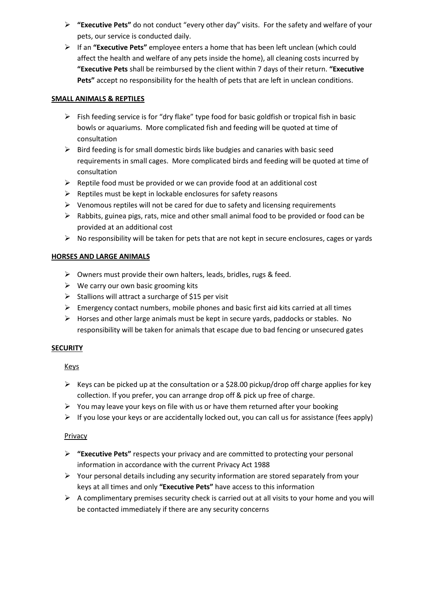- **"Executive Pets"** do not conduct "every other day" visits. For the safety and welfare of your pets, our service is conducted daily.
- If an **"Executive Pets"** employee enters a home that has been left unclean (which could affect the health and welfare of any pets inside the home), all cleaning costs incurred by **"Executive Pets** shall be reimbursed by the client within 7 days of their return. **"Executive Pets"** accept no responsibility for the health of pets that are left in unclean conditions.

#### **SMALL ANIMALS & REPTILES**

- $\triangleright$  Fish feeding service is for "dry flake" type food for basic goldfish or tropical fish in basic bowls or aquariums. More complicated fish and feeding will be quoted at time of consultation
- $\triangleright$  Bird feeding is for small domestic birds like budgies and canaries with basic seed requirements in small cages. More complicated birds and feeding will be quoted at time of consultation
- $\triangleright$  Reptile food must be provided or we can provide food at an additional cost
- $\triangleright$  Reptiles must be kept in lockable enclosures for safety reasons
- $\triangleright$  Venomous reptiles will not be cared for due to safety and licensing requirements
- $\triangleright$  Rabbits, guinea pigs, rats, mice and other small animal food to be provided or food can be provided at an additional cost
- $\triangleright$  No responsibility will be taken for pets that are not kept in secure enclosures, cages or yards

## **HORSES AND LARGE ANIMALS**

- $\triangleright$  Owners must provide their own halters, leads, bridles, rugs & feed.
- $\triangleright$  We carry our own basic grooming kits
- $\triangleright$  Stallions will attract a surcharge of \$15 per visit
- $\triangleright$  Emergency contact numbers, mobile phones and basic first aid kits carried at all times
- $\triangleright$  Horses and other large animals must be kept in secure yards, paddocks or stables. No responsibility will be taken for animals that escape due to bad fencing or unsecured gates

#### **SECURITY**

## Keys

- $\triangleright$  Keys can be picked up at the consultation or a \$28.00 pickup/drop off charge applies for key collection. If you prefer, you can arrange drop off & pick up free of charge.
- $\triangleright$  You may leave your keys on file with us or have them returned after your booking
- $\triangleright$  If you lose your keys or are accidentally locked out, you can call us for assistance (fees apply)

## Privacy

- **"Executive Pets"** respects your privacy and are committed to protecting your personal information in accordance with the current Privacy Act 1988
- $\triangleright$  Your personal details including any security information are stored separately from your keys at all times and only **"Executive Pets"** have access to this information
- $\triangleright$  A complimentary premises security check is carried out at all visits to your home and you will be contacted immediately if there are any security concerns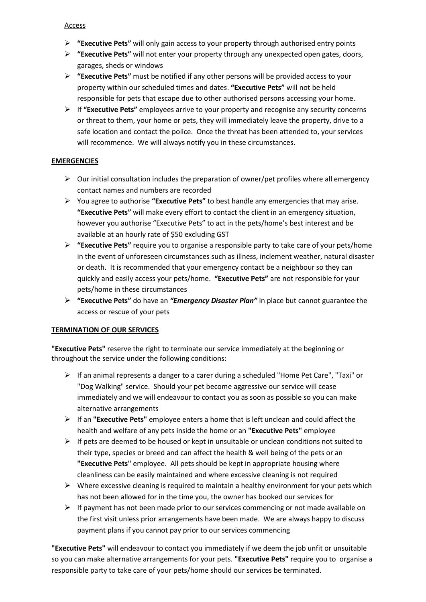#### Access

- **"Executive Pets"** will only gain access to your property through authorised entry points
- **"Executive Pets"** will not enter your property through any unexpected open gates, doors, garages, sheds or windows
- **"Executive Pets"** must be notified if any other persons will be provided access to your property within our scheduled times and dates. **"Executive Pets"** will not be held responsible for pets that escape due to other authorised persons accessing your home.
- If **"Executive Pets"** employees arrive to your property and recognise any security concerns or threat to them, your home or pets, they will immediately leave the property, drive to a safe location and contact the police. Once the threat has been attended to, your services will recommence. We will always notify you in these circumstances.

## **EMERGENCIES**

- $\triangleright$  Our initial consultation includes the preparation of owner/pet profiles where all emergency contact names and numbers are recorded
- You agree to authorise **"Executive Pets"** to best handle any emergencies that may arise. **"Executive Pets"** will make every effort to contact the client in an emergency situation, however you authorise "Executive Pets" to act in the pets/home's best interest and be available at an hourly rate of \$50 excluding GST
- **"Executive Pets"** require you to organise a responsible party to take care of your pets/home in the event of unforeseen circumstances such as illness, inclement weather, natural disaster or death. It is recommended that your emergency contact be a neighbour so they can quickly and easily access your pets/home. **"Executive Pets"** are not responsible for your pets/home in these circumstances
- **"Executive Pets"** do have an *"Emergency Disaster Plan"* in place but cannot guarantee the access or rescue of your pets

## **TERMINATION OF OUR SERVICES**

**"Executive Pets"** reserve the right to terminate our service immediately at the beginning or throughout the service under the following conditions:

- $\triangleright$  If an animal represents a danger to a carer during a scheduled "Home Pet Care", "Taxi" or "Dog Walking" service. Should your pet become aggressive our service will cease immediately and we will endeavour to contact you as soon as possible so you can make alternative arrangements
- If an **"Executive Pets"** employee enters a home that is left unclean and could affect the health and welfare of any pets inside the home or an **"Executive Pets"** employee
- $\triangleright$  If pets are deemed to be housed or kept in unsuitable or unclean conditions not suited to their type, species or breed and can affect the health & well being of the pets or an **"Executive Pets"** employee. All pets should be kept in appropriate housing where cleanliness can be easily maintained and where excessive cleaning is not required
- $\triangleright$  Where excessive cleaning is required to maintain a healthy environment for your pets which has not been allowed for in the time you, the owner has booked our services for
- $\triangleright$  If payment has not been made prior to our services commencing or not made available on the first visit unless prior arrangements have been made. We are always happy to discuss payment plans if you cannot pay prior to our services commencing

**"Executive Pets"** will endeavour to contact you immediately if we deem the job unfit or unsuitable so you can make alternative arrangements for your pets. **"Executive Pets"** require you to organise a responsible party to take care of your pets/home should our services be terminated.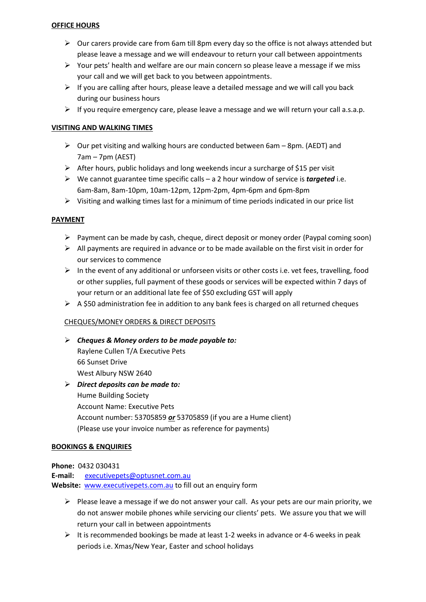#### **OFFICE HOURS**

- $\triangleright$  Our carers provide care from 6am till 8pm every day so the office is not always attended but please leave a message and we will endeavour to return your call between appointments
- $\triangleright$  Your pets' health and welfare are our main concern so please leave a message if we miss your call and we will get back to you between appointments.
- $\triangleright$  If you are calling after hours, please leave a detailed message and we will call you back during our business hours
- $\triangleright$  If you require emergency care, please leave a message and we will return your call a.s.a.p.

#### **VISITING AND WALKING TIMES**

- $\triangleright$  Our pet visiting and walking hours are conducted between 6am 8pm. (AEDT) and 7am – 7pm (AEST)
- $\triangleright$  After hours, public holidays and long weekends incur a surcharge of \$15 per visit
- $\triangleright$  We cannot guarantee time specific calls a 2 hour window of service is **targeted** i.e. 6am-8am, 8am-10pm, 10am-12pm, 12pm-2pm, 4pm-6pm and 6pm-8pm
- $\triangleright$  Visiting and walking times last for a minimum of time periods indicated in our price list

## **PAYMENT**

- $\triangleright$  Payment can be made by cash, cheque, direct deposit or money order (Paypal coming soon)
- $\triangleright$  All payments are required in advance or to be made available on the first visit in order for our services to commence
- $\triangleright$  In the event of any additional or unforseen visits or other costs i.e. vet fees, travelling, food or other supplies, full payment of these goods or services will be expected within 7 days of your return or an additional late fee of \$50 excluding GST will apply
- $\triangleright$  A \$50 administration fee in addition to any bank fees is charged on all returned cheques

#### CHEQUES/MONEY ORDERS & DIRECT DEPOSITS

- *Cheques & Money orders to be made payable to:* Raylene Cullen T/A Executive Pets 66 Sunset Drive West Albury NSW 2640 *Direct deposits can be made to:*
- Hume Building Society Account Name: Executive Pets Account number: 53705859 *or* 537058S9 (if you are a Hume client) (Please use your invoice number as reference for payments)

#### **BOOKINGS & ENQUIRIES**

**Phone:** 0432 030431 **E-mail:** [executivepets@optusnet.com.au](mailto:executivepets@optusnet.com.au) **Website:** [www.executivepets.com.au](http://www.executivepets.com.au/) to fill out an enquiry form

- $\triangleright$  Please leave a message if we do not answer your call. As your pets are our main priority, we do not answer mobile phones while servicing our clients' pets. We assure you that we will return your call in between appointments
- $\triangleright$  It is recommended bookings be made at least 1-2 weeks in advance or 4-6 weeks in peak periods i.e. Xmas/New Year, Easter and school holidays